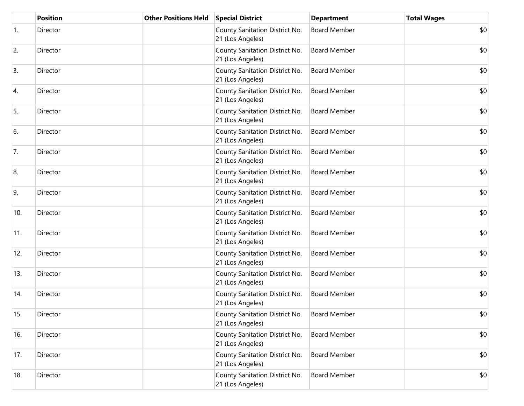|     | <b>Position</b> | <b>Other Positions Held</b> | <b>Special District</b>                            | <b>Department</b>   | <b>Total Wages</b> |
|-----|-----------------|-----------------------------|----------------------------------------------------|---------------------|--------------------|
| 1.  | Director        |                             | County Sanitation District No.<br>21 (Los Angeles) | <b>Board Member</b> | \$0                |
| 2.  | Director        |                             | County Sanitation District No.<br>21 (Los Angeles) | <b>Board Member</b> | \$0                |
| 3.  | Director        |                             | County Sanitation District No.<br>21 (Los Angeles) | <b>Board Member</b> | \$0                |
| 4.  | Director        |                             | County Sanitation District No.<br>21 (Los Angeles) | <b>Board Member</b> | \$0                |
| 5.  | Director        |                             | County Sanitation District No.<br>21 (Los Angeles) | <b>Board Member</b> | \$0                |
| 6.  | Director        |                             | County Sanitation District No.<br>21 (Los Angeles) | <b>Board Member</b> | \$0                |
| 7.  | Director        |                             | County Sanitation District No.<br>21 (Los Angeles) | <b>Board Member</b> | \$0                |
| 8.  | Director        |                             | County Sanitation District No.<br>21 (Los Angeles) | <b>Board Member</b> | \$0                |
| 9.  | Director        |                             | County Sanitation District No.<br>21 (Los Angeles) | <b>Board Member</b> | \$0                |
| 10. | Director        |                             | County Sanitation District No.<br>21 (Los Angeles) | <b>Board Member</b> | \$0                |
| 11. | Director        |                             | County Sanitation District No.<br>21 (Los Angeles) | <b>Board Member</b> | \$0                |
| 12. | Director        |                             | County Sanitation District No.<br>21 (Los Angeles) | <b>Board Member</b> | \$0                |
| 13. | Director        |                             | County Sanitation District No.<br>21 (Los Angeles) | <b>Board Member</b> | \$0                |
| 14. | Director        |                             | County Sanitation District No.<br>21 (Los Angeles) | <b>Board Member</b> | \$0                |
| 15. | Director        |                             | County Sanitation District No.<br>21 (Los Angeles) | <b>Board Member</b> | \$0                |
| 16. | Director        |                             | County Sanitation District No.<br>21 (Los Angeles) | <b>Board Member</b> | \$0                |
| 17. | Director        |                             | County Sanitation District No.<br>21 (Los Angeles) | <b>Board Member</b> | \$0                |
| 18. | Director        |                             | County Sanitation District No.<br>21 (Los Angeles) | <b>Board Member</b> | \$0                |